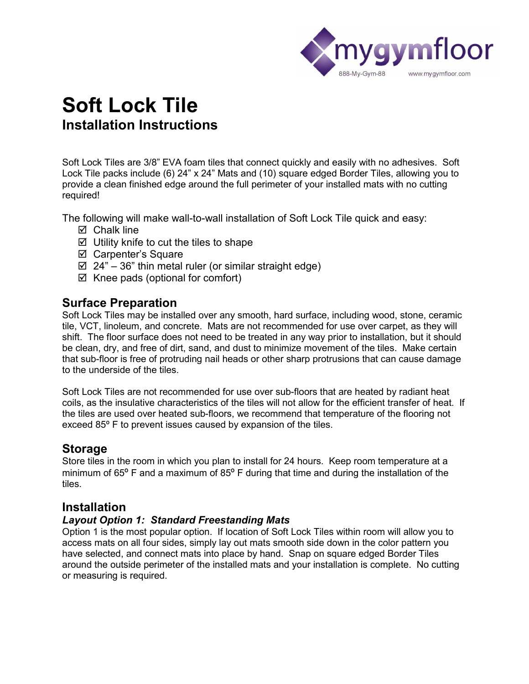

# **Soft Lock Tile Installation Instructions**

Soft Lock Tiles are 3/8" EVA foam tiles that connect quickly and easily with no adhesives. Soft Lock Tile packs include (6) 24" x 24" Mats and (10) square edged Border Tiles, allowing you to provide a clean finished edge around the full perimeter of your installed mats with no cutting required!

The following will make wall-to-wall installation of Soft Lock Tile quick and easy:

- $\nabla$  Chalk line
- $\boxtimes$  Utility knife to cut the tiles to shape
- þ Carpenter's Square
- $\boxtimes$  24" 36" thin metal ruler (or similar straight edge)
- $\boxtimes$  Knee pads (optional for comfort)

## **Surface Preparation**

Soft Lock Tiles may be installed over any smooth, hard surface, including wood, stone, ceramic tile, VCT, linoleum, and concrete. Mats are not recommended for use over carpet, as they will shift. The floor surface does not need to be treated in any way prior to installation, but it should be clean, dry, and free of dirt, sand, and dust to minimize movement of the tiles. Make certain that sub-floor is free of protruding nail heads or other sharp protrusions that can cause damage to the underside of the tiles.

Soft Lock Tiles are not recommended for use over sub-floors that are heated by radiant heat coils, as the insulative characteristics of the tiles will not allow for the efficient transfer of heat. If the tiles are used over heated sub-floors, we recommend that temperature of the flooring not exceed 85º F to prevent issues caused by expansion of the tiles.

## **Storage**

Store tiles in the room in which you plan to install for 24 hours. Keep room temperature at a minimum of 65<sup>o</sup> F and a maximum of 85<sup>o</sup> F during that time and during the installation of the tiles.

## **Installation**

## *Layout Option 1: Standard Freestanding Mats*

Option 1 is the most popular option. If location of Soft Lock Tiles within room will allow you to access mats on all four sides, simply lay out mats smooth side down in the color pattern you have selected, and connect mats into place by hand. Snap on square edged Border Tiles around the outside perimeter of the installed mats and your installation is complete. No cutting or measuring is required.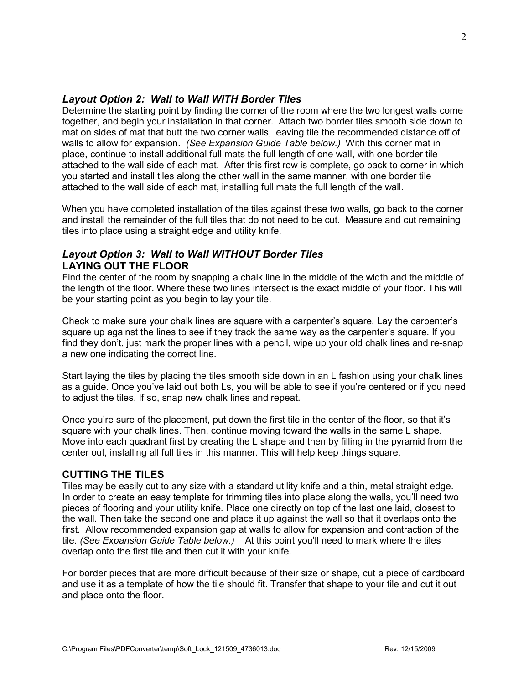### *Layout Option 2: Wall to Wall WITH Border Tiles*

Determine the starting point by finding the corner of the room where the two longest walls come together, and begin your installation in that corner. Attach two border tiles smooth side down to mat on sides of mat that butt the two corner walls, leaving tile the recommended distance off of walls to allow for expansion. *(See Expansion Guide Table below.)* With this corner mat in place, continue to install additional full mats the full length of one wall, with one border tile attached to the wall side of each mat. After this first row is complete, go back to corner in which you started and install tiles along the other wall in the same manner, with one border tile attached to the wall side of each mat, installing full mats the full length of the wall.

When you have completed installation of the tiles against these two walls, go back to the corner and install the remainder of the full tiles that do not need to be cut. Measure and cut remaining tiles into place using a straight edge and utility knife.

## *Layout Option 3: Wall to Wall WITHOUT Border Tiles* **LAYING OUT THE FLOOR**

Find the center of the room by snapping a chalk line in the middle of the width and the middle of the length of the floor. Where these two lines intersect is the exact middle of your floor. This will be your starting point as you begin to lay your tile.

Check to make sure your chalk lines are square with a carpenter's square. Lay the carpenter's square up against the lines to see if they track the same way as the carpenter's square. If you find they don't, just mark the proper lines with a pencil, wipe up your old chalk lines and re-snap a new one indicating the correct line.

Start laying the tiles by placing the tiles smooth side down in an L fashion using your chalk lines as a guide. Once you've laid out both Ls, you will be able to see if you're centered or if you need to adjust the tiles. If so, snap new chalk lines and repeat.

Once you're sure of the placement, put down the first tile in the center of the floor, so that it's square with your chalk lines. Then, continue moving toward the walls in the same L shape. Move into each quadrant first by creating the L shape and then by filling in the pyramid from the center out, installing all full tiles in this manner. This will help keep things square.

#### **CUTTING THE TILES**

Tiles may be easily cut to any size with a standard utility knife and a thin, metal straight edge. In order to create an easy template for trimming tiles into place along the walls, you'll need two pieces of flooring and your utility knife. Place one directly on top of the last one laid, closest to the wall. Then take the second one and place it up against the wall so that it overlaps onto the first. Allow recommended expansion gap at walls to allow for expansion and contraction of the tile. *(See Expansion Guide Table below.)* At this point you'll need to mark where the tiles overlap onto the first tile and then cut it with your knife.

For border pieces that are more difficult because of their size or shape, cut a piece of cardboard and use it as a template of how the tile should fit. Transfer that shape to your tile and cut it out and place onto the floor.